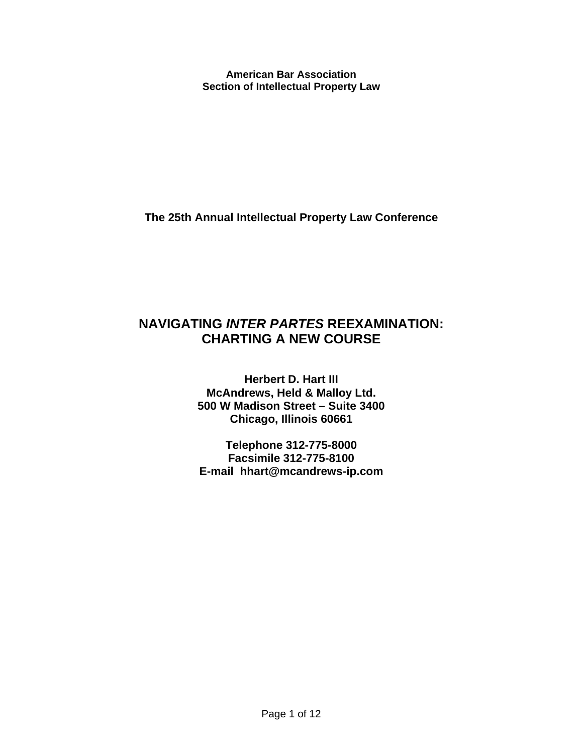**American Bar Association Section of Intellectual Property Law** 

**The 25th Annual Intellectual Property Law Conference** 

# **NAVIGATING** *INTER PARTES* **REEXAMINATION: CHARTING A NEW COURSE**

**Herbert D. Hart III McAndrews, Held & Malloy Ltd. 500 W Madison Street – Suite 3400 Chicago, Illinois 60661** 

**Telephone 312-775-8000 Facsimile 312-775-8100 E-mail hhart@mcandrews-ip.com**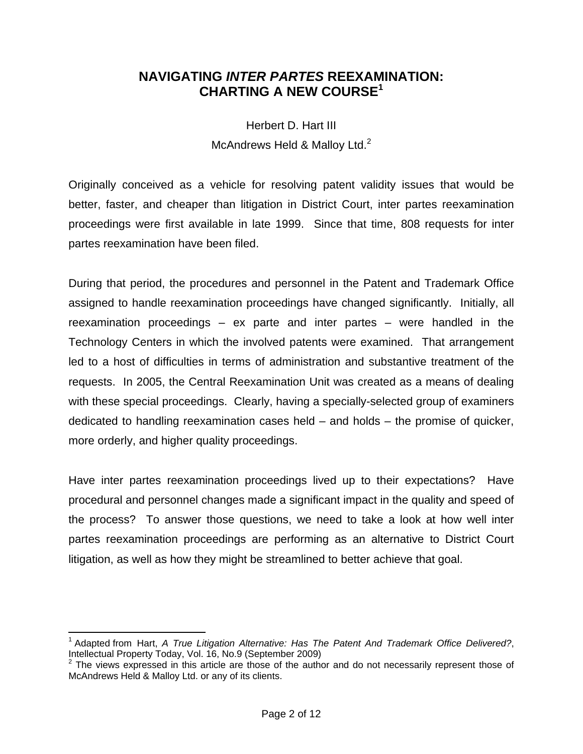# **NAVIGATING** *INTER PARTES* **REEXAMINATION: CHARTING A NEW COURSE<sup>1</sup>**

Herbert D. Hart III McAndrews Held & Malloy Ltd. $<sup>2</sup>$ </sup>

Originally conceived as a vehicle for resolving patent validity issues that would be better, faster, and cheaper than litigation in District Court, inter partes reexamination proceedings were first available in late 1999. Since that time, 808 requests for inter partes reexamination have been filed.

During that period, the procedures and personnel in the Patent and Trademark Office assigned to handle reexamination proceedings have changed significantly. Initially, all reexamination proceedings – ex parte and inter partes – were handled in the Technology Centers in which the involved patents were examined. That arrangement led to a host of difficulties in terms of administration and substantive treatment of the requests. In 2005, the Central Reexamination Unit was created as a means of dealing with these special proceedings. Clearly, having a specially-selected group of examiners dedicated to handling reexamination cases held – and holds – the promise of quicker, more orderly, and higher quality proceedings.

Have inter partes reexamination proceedings lived up to their expectations? Have procedural and personnel changes made a significant impact in the quality and speed of the process? To answer those questions, we need to take a look at how well inter partes reexamination proceedings are performing as an alternative to District Court litigation, as well as how they might be streamlined to better achieve that goal.

 $\overline{a}$ <sup>1</sup> Adapted from Hart, *A True Litigation Alternative: Has The Patent And Trademark Office Delivered?*, Intellectual Property Today, Vol. 16, No.9 (September 2009)<br><sup>2</sup> The views expressed in this article are those of the author and do not necessarily represent those of

McAndrews Held & Malloy Ltd. or any of its clients.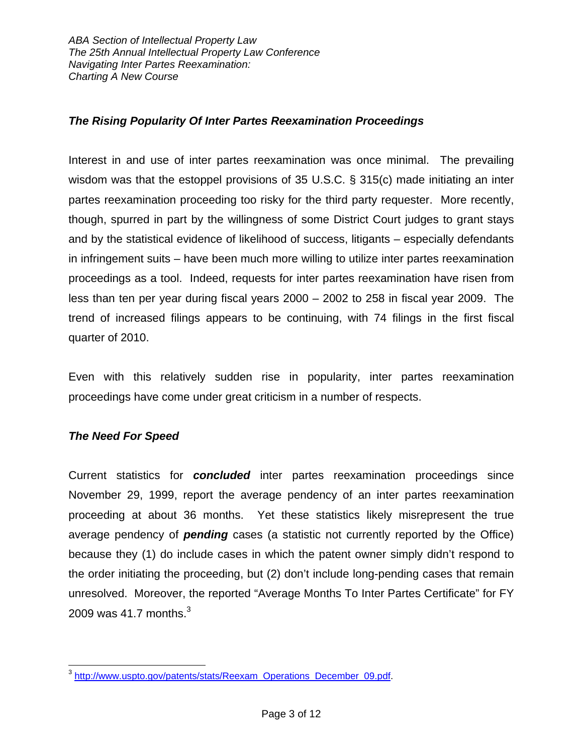## *The Rising Popularity Of Inter Partes Reexamination Proceedings*

Interest in and use of inter partes reexamination was once minimal. The prevailing wisdom was that the estoppel provisions of 35 U.S.C. § 315(c) made initiating an inter partes reexamination proceeding too risky for the third party requester. More recently, though, spurred in part by the willingness of some District Court judges to grant stays and by the statistical evidence of likelihood of success, litigants – especially defendants in infringement suits – have been much more willing to utilize inter partes reexamination proceedings as a tool. Indeed, requests for inter partes reexamination have risen from less than ten per year during fiscal years 2000 – 2002 to 258 in fiscal year 2009. The trend of increased filings appears to be continuing, with 74 filings in the first fiscal quarter of 2010.

Even with this relatively sudden rise in popularity, inter partes reexamination proceedings have come under great criticism in a number of respects.

### *The Need For Speed*

Current statistics for *concluded* inter partes reexamination proceedings since November 29, 1999, report the average pendency of an inter partes reexamination proceeding at about 36 months. Yet these statistics likely misrepresent the true average pendency of *pending* cases (a statistic not currently reported by the Office) because they (1) do include cases in which the patent owner simply didn't respond to the order initiating the proceeding, but (2) don't include long-pending cases that remain unresolved. Moreover, the reported "Average Months To Inter Partes Certificate" for FY 2009 was 41.7 months. $3$ 

 $\overline{a}$ <sup>3</sup> http://www.uspto.gov/patents/stats/Reexam\_Operations\_December\_09.pdf.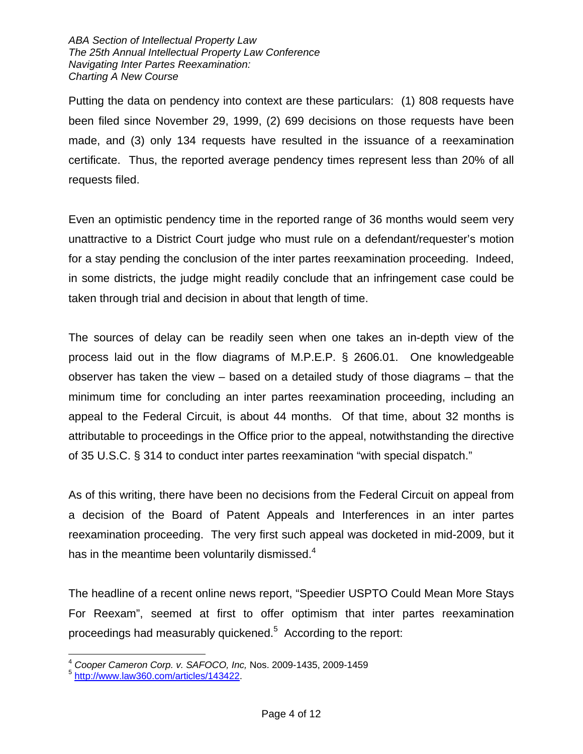Putting the data on pendency into context are these particulars: (1) 808 requests have been filed since November 29, 1999, (2) 699 decisions on those requests have been made, and (3) only 134 requests have resulted in the issuance of a reexamination certificate. Thus, the reported average pendency times represent less than 20% of all requests filed.

Even an optimistic pendency time in the reported range of 36 months would seem very unattractive to a District Court judge who must rule on a defendant/requester's motion for a stay pending the conclusion of the inter partes reexamination proceeding. Indeed, in some districts, the judge might readily conclude that an infringement case could be taken through trial and decision in about that length of time.

The sources of delay can be readily seen when one takes an in-depth view of the process laid out in the flow diagrams of M.P.E.P. § 2606.01. One knowledgeable observer has taken the view – based on a detailed study of those diagrams – that the minimum time for concluding an inter partes reexamination proceeding, including an appeal to the Federal Circuit, is about 44 months. Of that time, about 32 months is attributable to proceedings in the Office prior to the appeal, notwithstanding the directive of 35 U.S.C. § 314 to conduct inter partes reexamination "with special dispatch."

As of this writing, there have been no decisions from the Federal Circuit on appeal from a decision of the Board of Patent Appeals and Interferences in an inter partes reexamination proceeding. The very first such appeal was docketed in mid-2009, but it has in the meantime been voluntarily dismissed. $4$ 

The headline of a recent online news report, "Speedier USPTO Could Mean More Stays For Reexam", seemed at first to offer optimism that inter partes reexamination proceedings had measurably quickened.<sup>5</sup> According to the report:

 $\overline{a}$ 

<sup>4</sup> *Cooper Cameron Corp. v. SAFOCO, Inc,* Nos. 2009-1435, 2009-1459

<sup>5</sup> http://www.law360.com/articles/143422.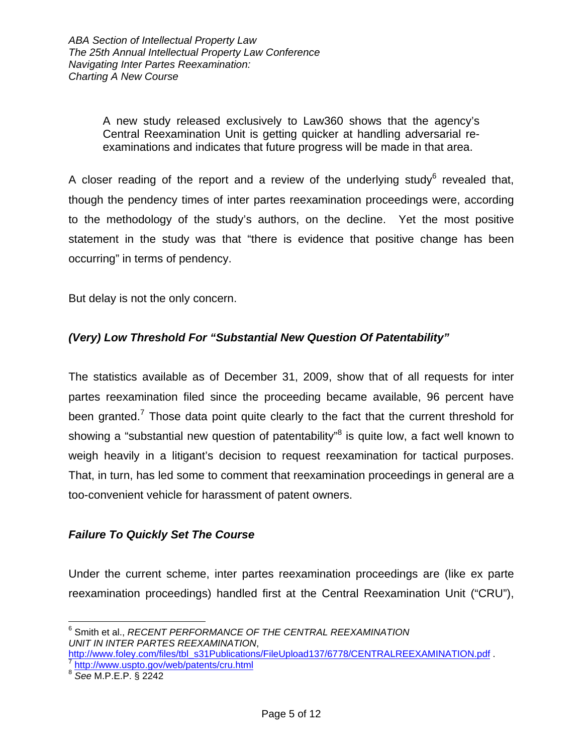A new study released exclusively to Law360 shows that the agency's Central Reexamination Unit is getting quicker at handling adversarial reexaminations and indicates that future progress will be made in that area.

A closer reading of the report and a review of the underlying study<sup>6</sup> revealed that, though the pendency times of inter partes reexamination proceedings were, according to the methodology of the study's authors, on the decline. Yet the most positive statement in the study was that "there is evidence that positive change has been occurring" in terms of pendency.

But delay is not the only concern.

# *(Very) Low Threshold For "Substantial New Question Of Patentability"*

The statistics available as of December 31, 2009, show that of all requests for inter partes reexamination filed since the proceeding became available, 96 percent have been granted.<sup>7</sup> Those data point quite clearly to the fact that the current threshold for showing a "substantial new question of patentability"<sup>8</sup> is quite low, a fact well known to weigh heavily in a litigant's decision to request reexamination for tactical purposes. That, in turn, has led some to comment that reexamination proceedings in general are a too-convenient vehicle for harassment of patent owners.

### *Failure To Quickly Set The Course*

Under the current scheme, inter partes reexamination proceedings are (like ex parte reexamination proceedings) handled first at the Central Reexamination Unit ("CRU"),

 $\overline{a}$ 6 Smith et al., *RECENT PERFORMANCE OF THE CENTRAL REEXAMINATION UNIT IN INTER PARTES REEXAMINATION*,

http://www.foley.com/files/tbl\_s31Publications/FileUpload137/6778/CENTRALREEXAMINATION.pdf .<br><sup>7</sup> http://www.uspto.gov/web/patents/cru.html<br><sup>8</sup> See M.P.E.P. § 2242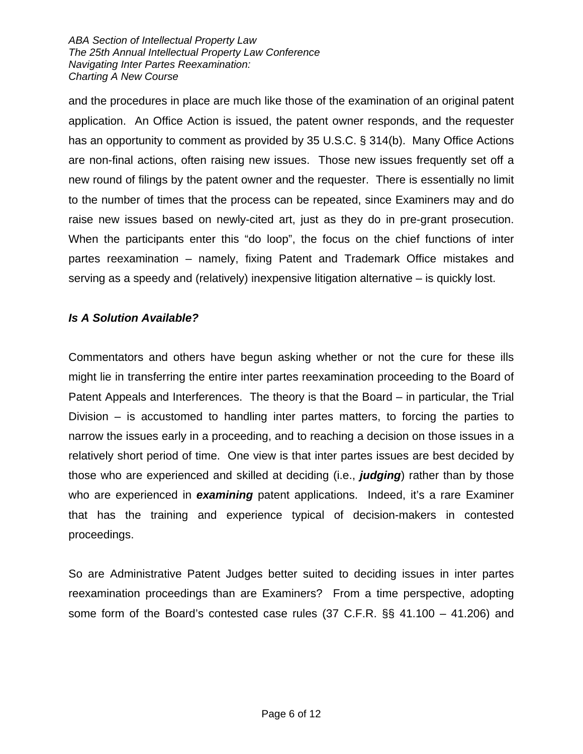and the procedures in place are much like those of the examination of an original patent application. An Office Action is issued, the patent owner responds, and the requester has an opportunity to comment as provided by 35 U.S.C. § 314(b). Many Office Actions are non-final actions, often raising new issues. Those new issues frequently set off a new round of filings by the patent owner and the requester. There is essentially no limit to the number of times that the process can be repeated, since Examiners may and do raise new issues based on newly-cited art, just as they do in pre-grant prosecution. When the participants enter this "do loop", the focus on the chief functions of inter partes reexamination – namely, fixing Patent and Trademark Office mistakes and serving as a speedy and (relatively) inexpensive litigation alternative – is quickly lost.

## *Is A Solution Available?*

Commentators and others have begun asking whether or not the cure for these ills might lie in transferring the entire inter partes reexamination proceeding to the Board of Patent Appeals and Interferences. The theory is that the Board – in particular, the Trial Division – is accustomed to handling inter partes matters, to forcing the parties to narrow the issues early in a proceeding, and to reaching a decision on those issues in a relatively short period of time. One view is that inter partes issues are best decided by those who are experienced and skilled at deciding (i.e., *judging*) rather than by those who are experienced in *examining* patent applications. Indeed, it's a rare Examiner that has the training and experience typical of decision-makers in contested proceedings.

So are Administrative Patent Judges better suited to deciding issues in inter partes reexamination proceedings than are Examiners? From a time perspective, adopting some form of the Board's contested case rules (37 C.F.R. §§ 41.100 – 41.206) and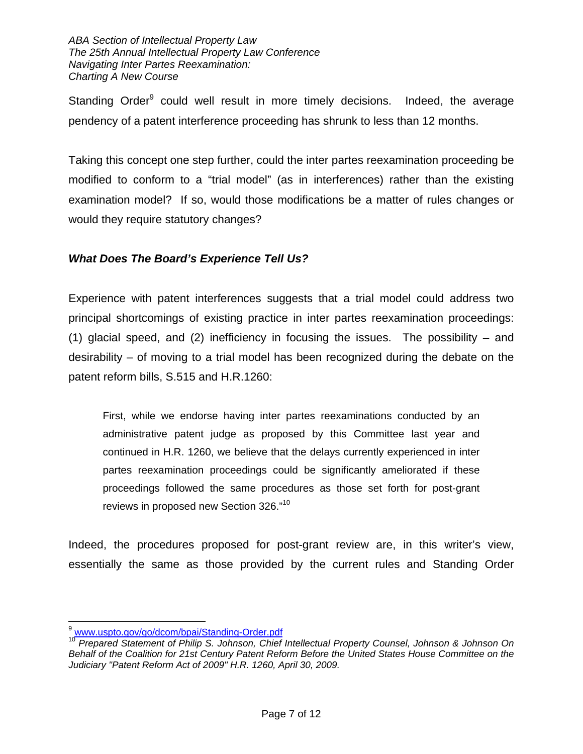Standing Order<sup>9</sup> could well result in more timely decisions. Indeed, the average pendency of a patent interference proceeding has shrunk to less than 12 months.

Taking this concept one step further, could the inter partes reexamination proceeding be modified to conform to a "trial model" (as in interferences) rather than the existing examination model? If so, would those modifications be a matter of rules changes or would they require statutory changes?

## *What Does The Board's Experience Tell Us?*

Experience with patent interferences suggests that a trial model could address two principal shortcomings of existing practice in inter partes reexamination proceedings: (1) glacial speed, and (2) inefficiency in focusing the issues. The possibility – and desirability – of moving to a trial model has been recognized during the debate on the patent reform bills, S.515 and H.R.1260:

First, while we endorse having inter partes reexaminations conducted by an administrative patent judge as proposed by this Committee last year and continued in H.R. 1260, we believe that the delays currently experienced in inter partes reexamination proceedings could be significantly ameliorated if these proceedings followed the same procedures as those set forth for post-grant reviews in proposed new Section 326."10

Indeed, the procedures proposed for post-grant review are, in this writer's view, essentially the same as those provided by the current rules and Standing Order

 $\overline{a}$ 

<sup>&</sup>lt;sup>9</sup> www.uspto.gov/go/dcom/bpai/Standing-Order.pdf<br><sup>10</sup> Prepared Statement of Philip S. Johnson, Chief Intellectual Property Counsel, Johnson & Johnson On *Behalf of the Coalition for 21st Century Patent Reform Before the United States House Committee on the Judiciary "Patent Reform Act of 2009" H.R. 1260, April 30, 2009.*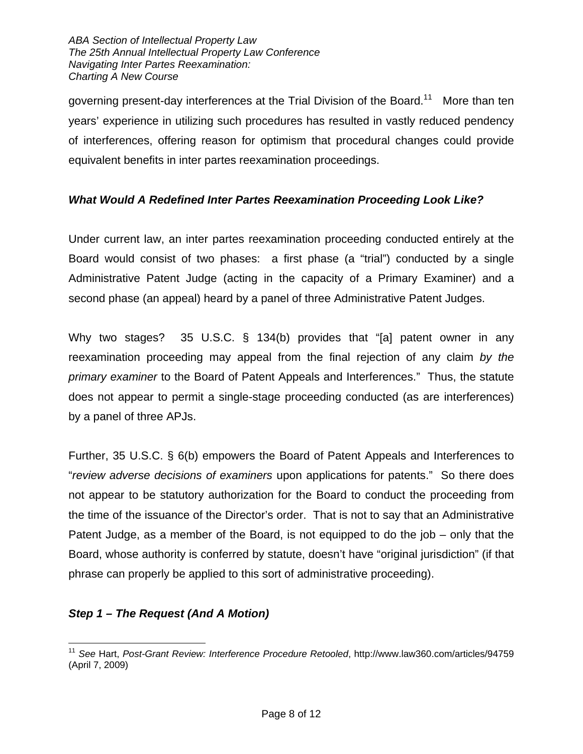governing present-day interferences at the Trial Division of the Board.<sup>11</sup> More than ten years' experience in utilizing such procedures has resulted in vastly reduced pendency of interferences, offering reason for optimism that procedural changes could provide equivalent benefits in inter partes reexamination proceedings.

# *What Would A Redefined Inter Partes Reexamination Proceeding Look Like?*

Under current law, an inter partes reexamination proceeding conducted entirely at the Board would consist of two phases: a first phase (a "trial") conducted by a single Administrative Patent Judge (acting in the capacity of a Primary Examiner) and a second phase (an appeal) heard by a panel of three Administrative Patent Judges.

Why two stages? 35 U.S.C. § 134(b) provides that "[a] patent owner in any reexamination proceeding may appeal from the final rejection of any claim *by the primary examiner* to the Board of Patent Appeals and Interferences." Thus, the statute does not appear to permit a single-stage proceeding conducted (as are interferences) by a panel of three APJs.

Further, 35 U.S.C. § 6(b) empowers the Board of Patent Appeals and Interferences to "*review adverse decisions of examiners* upon applications for patents." So there does not appear to be statutory authorization for the Board to conduct the proceeding from the time of the issuance of the Director's order. That is not to say that an Administrative Patent Judge, as a member of the Board, is not equipped to do the job – only that the Board, whose authority is conferred by statute, doesn't have "original jurisdiction" (if that phrase can properly be applied to this sort of administrative proceeding).

# *Step 1 – The Request (And A Motion)*

 $\overline{a}$ <sup>11</sup> *See* Hart, *Post-Grant Review: Interference Procedure Retooled*, http://www.law360.com/articles/94759 (April 7, 2009)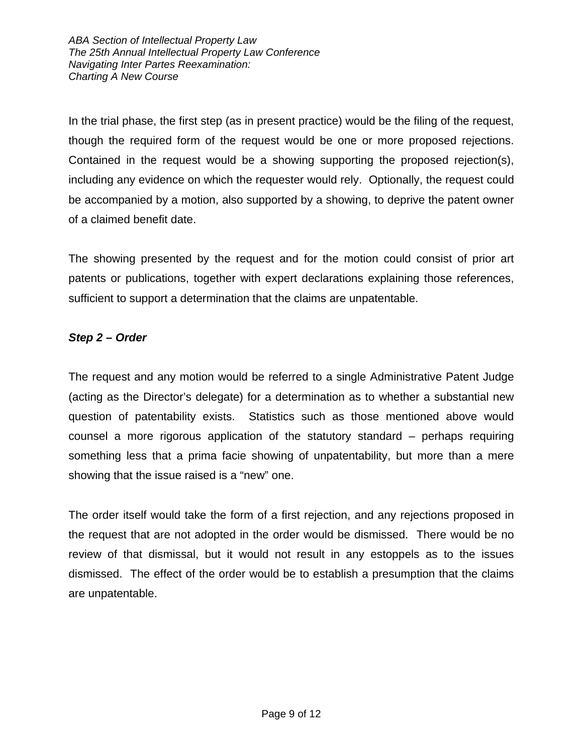In the trial phase, the first step (as in present practice) would be the filing of the request, though the required form of the request would be one or more proposed rejections. Contained in the request would be a showing supporting the proposed rejection(s), including any evidence on which the requester would rely. Optionally, the request could be accompanied by a motion, also supported by a showing, to deprive the patent owner of a claimed benefit date.

The showing presented by the request and for the motion could consist of prior art patents or publications, together with expert declarations explaining those references, sufficient to support a determination that the claims are unpatentable.

## *Step 2 – Order*

The request and any motion would be referred to a single Administrative Patent Judge (acting as the Director's delegate) for a determination as to whether a substantial new question of patentability exists. Statistics such as those mentioned above would counsel a more rigorous application of the statutory standard – perhaps requiring something less that a prima facie showing of unpatentability, but more than a mere showing that the issue raised is a "new" one.

The order itself would take the form of a first rejection, and any rejections proposed in the request that are not adopted in the order would be dismissed. There would be no review of that dismissal, but it would not result in any estoppels as to the issues dismissed. The effect of the order would be to establish a presumption that the claims are unpatentable.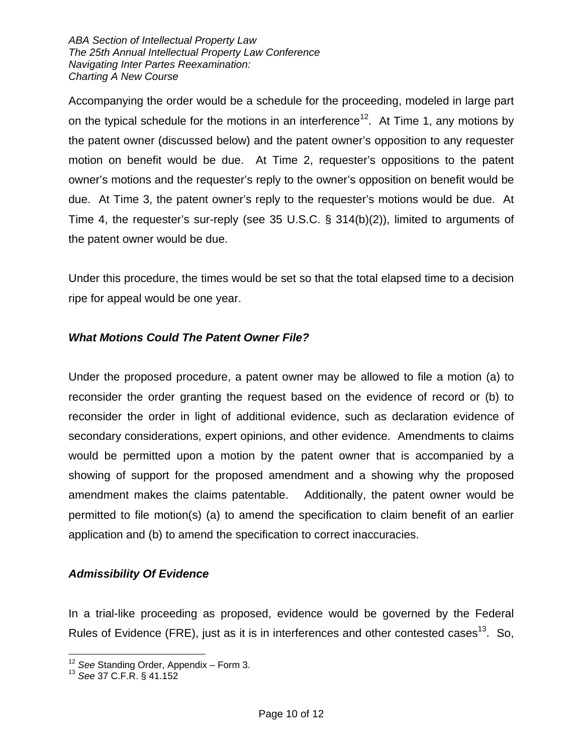Accompanying the order would be a schedule for the proceeding, modeled in large part on the typical schedule for the motions in an interference<sup>12</sup>. At Time 1, any motions by the patent owner (discussed below) and the patent owner's opposition to any requester motion on benefit would be due. At Time 2, requester's oppositions to the patent owner's motions and the requester's reply to the owner's opposition on benefit would be due. At Time 3, the patent owner's reply to the requester's motions would be due. At Time 4, the requester's sur-reply (see 35 U.S.C. § 314(b)(2)), limited to arguments of the patent owner would be due.

Under this procedure, the times would be set so that the total elapsed time to a decision ripe for appeal would be one year.

### *What Motions Could The Patent Owner File?*

Under the proposed procedure, a patent owner may be allowed to file a motion (a) to reconsider the order granting the request based on the evidence of record or (b) to reconsider the order in light of additional evidence, such as declaration evidence of secondary considerations, expert opinions, and other evidence. Amendments to claims would be permitted upon a motion by the patent owner that is accompanied by a showing of support for the proposed amendment and a showing why the proposed amendment makes the claims patentable. Additionally, the patent owner would be permitted to file motion(s) (a) to amend the specification to claim benefit of an earlier application and (b) to amend the specification to correct inaccuracies.

### *Admissibility Of Evidence*

In a trial-like proceeding as proposed, evidence would be governed by the Federal Rules of Evidence (FRE), just as it is in interferences and other contested cases<sup>13</sup>. So,

1

<sup>&</sup>lt;sup>12</sup> See Standing Order, Appendix – Form 3.<br><sup>13</sup> See 37 C.F.R. § 41.152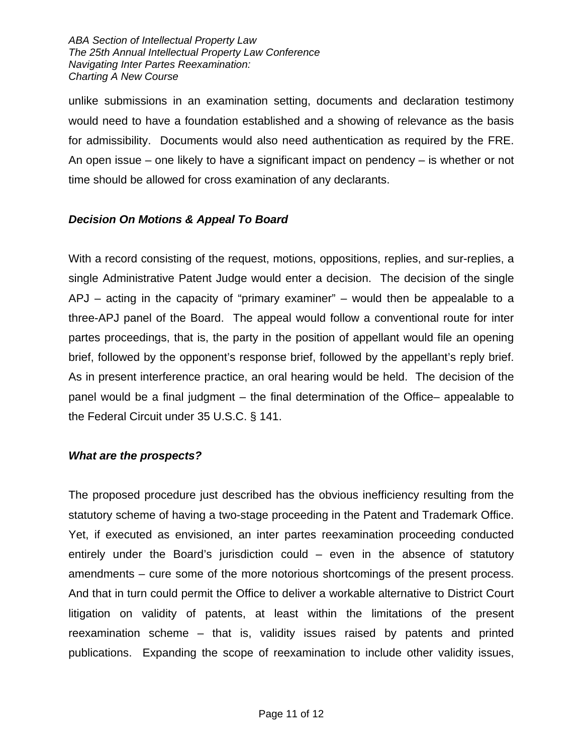unlike submissions in an examination setting, documents and declaration testimony would need to have a foundation established and a showing of relevance as the basis for admissibility. Documents would also need authentication as required by the FRE. An open issue – one likely to have a significant impact on pendency – is whether or not time should be allowed for cross examination of any declarants.

## *Decision On Motions & Appeal To Board*

With a record consisting of the request, motions, oppositions, replies, and sur-replies, a single Administrative Patent Judge would enter a decision. The decision of the single APJ – acting in the capacity of "primary examiner" – would then be appealable to a three-APJ panel of the Board. The appeal would follow a conventional route for inter partes proceedings, that is, the party in the position of appellant would file an opening brief, followed by the opponent's response brief, followed by the appellant's reply brief. As in present interference practice, an oral hearing would be held. The decision of the panel would be a final judgment – the final determination of the Office– appealable to the Federal Circuit under 35 U.S.C. § 141.

#### *What are the prospects?*

The proposed procedure just described has the obvious inefficiency resulting from the statutory scheme of having a two-stage proceeding in the Patent and Trademark Office. Yet, if executed as envisioned, an inter partes reexamination proceeding conducted entirely under the Board's jurisdiction could – even in the absence of statutory amendments – cure some of the more notorious shortcomings of the present process. And that in turn could permit the Office to deliver a workable alternative to District Court litigation on validity of patents, at least within the limitations of the present reexamination scheme – that is, validity issues raised by patents and printed publications. Expanding the scope of reexamination to include other validity issues,